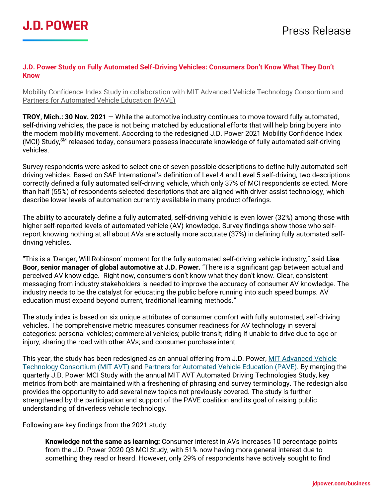

## **J.D. Power Study on Fully Automated Self-Driving Vehicles: Consumers Don't Know What They Don't Know**

Mobility Confidence Index Study in collaboration with MIT Advanced Vehicle Technology Consortium and Partners for Automated Vehicle Education (PAVE)

**TROY, Mich.: 30 Nov. 2021** — While the automotive industry continues to move toward fully automated, self-driving vehicles, the pace is not being matched by educational efforts that will help bring buyers into the modern mobility movement. According to the redesigned J.D. Power 2021 Mobility Confidence Index (MCI) Study, SM released today, consumers possess inaccurate knowledge of fully automated self-driving vehicles.

Survey respondents were asked to select one of seven possible descriptions to define fully automated selfdriving vehicles. Based on SAE International's definition of Level 4 and Level 5 self-driving, two descriptions correctly defined a fully automated self-driving vehicle, which only 37% of MCI respondents selected. More than half (55%) of respondents selected descriptions that are aligned with driver assist technology, which describe lower levels of automation currently available in many product offerings.

The ability to accurately define a fully automated, self-driving vehicle is even lower (32%) among those with higher self-reported levels of automated vehicle (AV) knowledge. Survey findings show those who selfreport knowing nothing at all about AVs are actually more accurate (37%) in defining fully automated selfdriving vehicles.

"This is a 'Danger, Will Robinson' moment for the fully automated self-driving vehicle industry," said **Lisa Boor, senior manager of global automotive at J.D. Power.** "There is a significant gap between actual and perceived AV knowledge. Right now, consumers don't know what they don't know. Clear, consistent messaging from industry stakeholders is needed to improve the accuracy of consumer AV knowledge. The industry needs to be the catalyst for educating the public before running into such speed bumps. AV education must expand beyond current, traditional learning methods."

The study index is based on six unique attributes of consumer comfort with fully automated, self-driving vehicles. The comprehensive metric measures consumer readiness for AV technology in several categories: personal vehicles; commercial vehicles; public transit; riding if unable to drive due to age or injury; sharing the road with other AVs; and consumer purchase intent.

This year, the study has been redesigned as an annual offering from J.D. Power[, MIT Advanced Vehicle](https://agelab.mit.edu/avt)  [Technology Consortium \(MIT AVT\)](https://agelab.mit.edu/avt) and Partners for Automated [Vehicle Education \(PAVE\).](https://pavecampaign.org/) By merging the quarterly J.D. Power MCI Study with the annual MIT AVT Automated Driving Technologies Study, key metrics from both are maintained with a freshening of phrasing and survey terminology. The redesign also provides the opportunity to add several new topics not previously covered. The study is further strengthened by the participation and support of the PAVE coalition and its goal of raising public understanding of driverless vehicle technology.

Following are key findings from the 2021 study:

**Knowledge not the same as learning:** Consumer interest in AVs increases 10 percentage points from the J.D. Power 2020 Q3 MCI Study, with 51% now having more general interest due to something they read or heard. However, only 29% of respondents have actively sought to find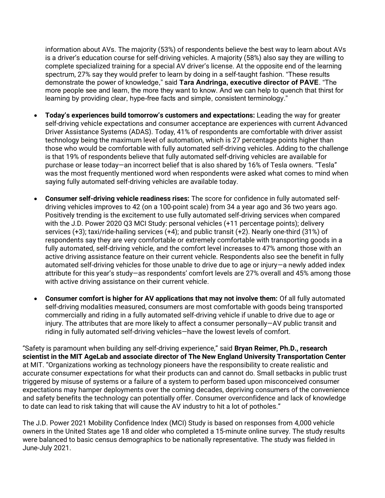information about AVs. The majority (53%) of respondents believe the best way to learn about AVs is a driver's education course for self-driving vehicles. A majority (58%) also say they are willing to complete specialized training for a special AV driver's license. At the opposite end of the learning spectrum, 27% say they would prefer to learn by doing in a self-taught fashion. "These results demonstrate the power of knowledge," said **Tara Andringa, executive director of PAVE**. "The more people see and learn, the more they want to know. And we can help to quench that thirst for learning by providing clear, hype-free facts and simple, consistent terminology."

- **Today's experiences build tomorrow's customers and expectations:** Leading the way for greater self-driving vehicle expectations and consumer acceptance are experiences with current Advanced Driver Assistance Systems (ADAS). Today, 41% of respondents are comfortable with driver assist technology being the maximum level of automation, which is 27 percentage points higher than those who would be comfortable with fully automated self-driving vehicles. Adding to the challenge is that 19% of respondents believe that fully automated self-driving vehicles are available for purchase or lease today—an incorrect belief that is also shared by 16% of Tesla owners. "Tesla" was the most frequently mentioned word when respondents were asked what comes to mind when saying fully automated self-driving vehicles are available today.
- **Consumer self-driving vehicle readiness rises:** The score for confidence in fully automated selfdriving vehicles improves to 42 (on a 100-point scale) from 34 a year ago and 36 two years ago. Positively trending is the excitement to use fully automated self-driving services when compared with the J.D. Power 2020 Q3 MCI Study: personal vehicles (+11 percentage points); delivery services (+3); taxi/ride-hailing services (+4); and public transit (+2). Nearly one-third (31%) of respondents say they are very comfortable or extremely comfortable with transporting goods in a fully automated, self-driving vehicle, and the comfort level increases to 47% among those with an active driving assistance feature on their current vehicle. Respondents also see the benefit in fully automated self-driving vehicles for those unable to drive due to age or injury—a newly added index attribute for this year's study—as respondents' comfort levels are 27% overall and 45% among those with active driving assistance on their current vehicle.
- **Consumer comfort is higher for AV applications that may not involve them:** Of all fully automated self-driving modalities measured, consumers are most comfortable with goods being transported commercially and riding in a fully automated self-driving vehicle if unable to drive due to age or injury. The attributes that are more likely to affect a consumer personally—AV public transit and riding in fully automated self-driving vehicles—have the lowest levels of comfort.

"Safety is paramount when building any self-driving experience," said **Bryan Reimer, Ph.D., research scientist in the MIT AgeLab and associate director of The New England University Transportation Center** at MIT. "Organizations working as technology pioneers have the responsibility to create realistic and accurate consumer expectations for what their products can and cannot do. Small setbacks in public trust triggered by misuse of systems or a failure of a system to perform based upon misconceived consumer expectations may hamper deployments over the coming decades, depriving consumers of the convenience and safety benefits the technology can potentially offer. Consumer overconfidence and lack of knowledge to date can lead to risk taking that will cause the AV industry to hit a lot of potholes."

The J.D. Power 2021 Mobility Confidence Index (MCI) Study is based on responses from 4,000 vehicle owners in the United States age 18 and older who completed a 15-minute online survey. The study results were balanced to basic census demographics to be nationally representative. The study was fielded in June-July 2021.